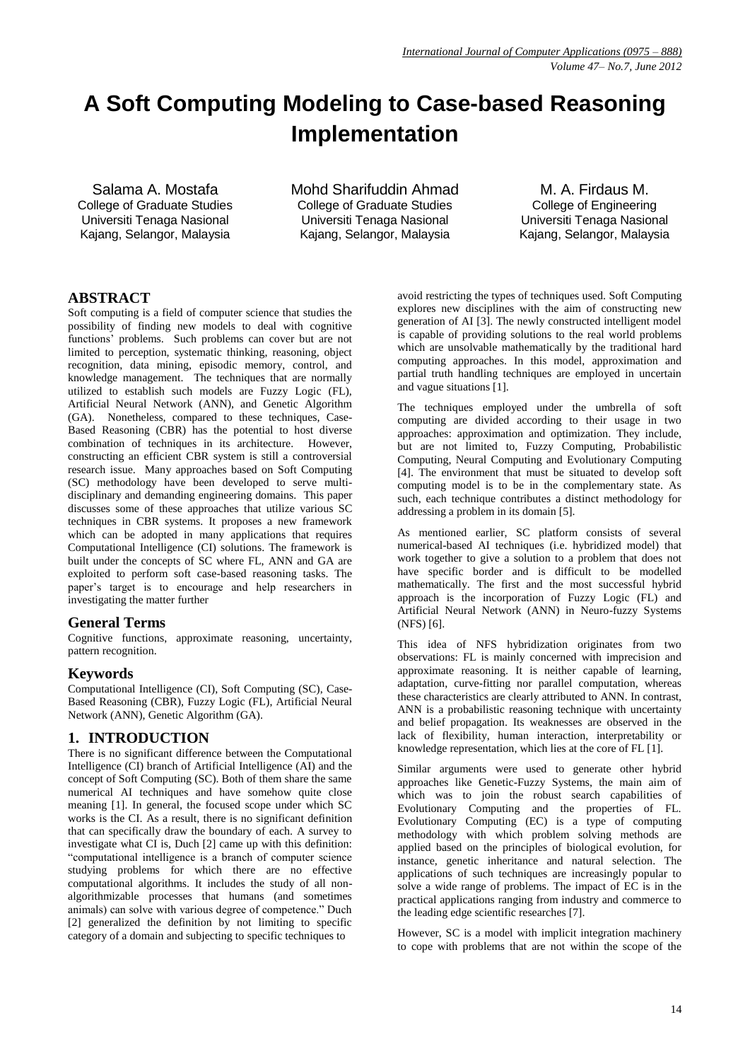# **A Soft Computing Modeling to Case-based Reasoning Implementation**

Salama A. Mostafa College of Graduate Studies Universiti Tenaga Nasional Kajang, Selangor, Malaysia

Mohd Sharifuddin Ahmad College of Graduate Studies Universiti Tenaga Nasional Kajang, Selangor, Malaysia

M. A. Firdaus M. College of Engineering Universiti Tenaga Nasional Kajang, Selangor, Malaysia

# **ABSTRACT**

Soft computing is a field of computer science that studies the possibility of finding new models to deal with cognitive functions' problems. Such problems can cover but are not limited to perception, systematic thinking, reasoning, object recognition, data mining, episodic memory, control, and knowledge management. The techniques that are normally utilized to establish such models are Fuzzy Logic (FL), Artificial Neural Network (ANN), and Genetic Algorithm (GA). Nonetheless, compared to these techniques, Case-Based Reasoning (CBR) has the potential to host diverse combination of techniques in its architecture. However, constructing an efficient CBR system is still a controversial research issue. Many approaches based on Soft Computing (SC) methodology have been developed to serve multidisciplinary and demanding engineering domains. This paper discusses some of these approaches that utilize various SC techniques in CBR systems. It proposes a new framework which can be adopted in many applications that requires Computational Intelligence (CI) solutions. The framework is built under the concepts of SC where FL, ANN and GA are exploited to perform soft case-based reasoning tasks. The paper's target is to encourage and help researchers in investigating the matter further

### **General Terms**

Cognitive functions, approximate reasoning, uncertainty, pattern recognition.

### **Keywords**

Computational Intelligence (CI), Soft Computing (SC), Case-Based Reasoning (CBR), Fuzzy Logic (FL), Artificial Neural Network (ANN), Genetic Algorithm (GA).

### **1. INTRODUCTION**

There is no significant difference between the Computational Intelligence (CI) branch of Artificial Intelligence (AI) and the concept of Soft Computing (SC). Both of them share the same numerical AI techniques and have somehow quite close meaning [1]. In general, the focused scope under which SC works is the CI. As a result, there is no significant definition that can specifically draw the boundary of each. A survey to investigate what CI is, Duch [2] came up with this definition: "computational intelligence is a branch of computer science studying problems for which there are no effective computational algorithms. It includes the study of all nonalgorithmizable processes that humans (and sometimes animals) can solve with various degree of competence." Duch [2] generalized the definition by not limiting to specific category of a domain and subjecting to specific techniques to

avoid restricting the types of techniques used. Soft Computing explores new disciplines with the aim of constructing new generation of AI [3]. The newly constructed intelligent model is capable of providing solutions to the real world problems which are unsolvable mathematically by the traditional hard computing approaches. In this model, approximation and partial truth handling techniques are employed in uncertain and vague situations [1].

The techniques employed under the umbrella of soft computing are divided according to their usage in two approaches: approximation and optimization. They include, but are not limited to, Fuzzy Computing, Probabilistic Computing, Neural Computing and Evolutionary Computing [4]. The environment that must be situated to develop soft computing model is to be in the complementary state. As such, each technique contributes a distinct methodology for addressing a problem in its domain [5].

As mentioned earlier, SC platform consists of several numerical-based AI techniques (i.e. hybridized model) that work together to give a solution to a problem that does not have specific border and is difficult to be modelled mathematically. The first and the most successful hybrid approach is the incorporation of Fuzzy Logic (FL) and Artificial Neural Network (ANN) in Neuro-fuzzy Systems (NFS) [6].

This idea of NFS hybridization originates from two observations: FL is mainly concerned with imprecision and approximate reasoning. It is neither capable of learning, adaptation, curve-fitting nor parallel computation, whereas these characteristics are clearly attributed to ANN. In contrast, ANN is a probabilistic reasoning technique with uncertainty and belief propagation. Its weaknesses are observed in the lack of flexibility, human interaction, interpretability or knowledge representation, which lies at the core of FL [1].

Similar arguments were used to generate other hybrid approaches like Genetic-Fuzzy Systems, the main aim of which was to join the robust search capabilities of Evolutionary Computing and the properties of FL. Evolutionary Computing (EC) is a type of computing methodology with which problem solving methods are applied based on the principles of biological evolution, for instance, genetic inheritance and natural selection. The applications of such techniques are increasingly popular to solve a wide range of problems. The impact of EC is in the practical applications ranging from industry and commerce to the leading edge scientific researches [7].

However, SC is a model with implicit integration machinery to cope with problems that are not within the scope of the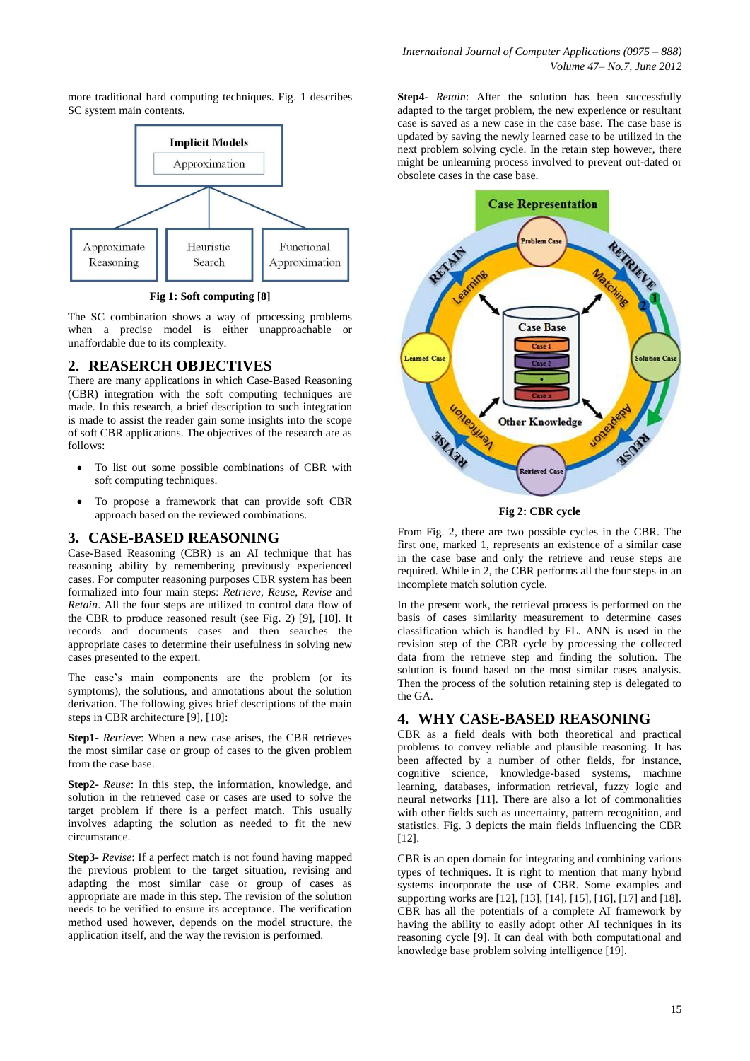more traditional hard computing techniques. Fig. 1 describes SC system main contents.



**Fig 1: Soft computing [8]**

The SC combination shows a way of processing problems when a precise model is either unapproachable or unaffordable due to its complexity.

# **2. REASERCH OBJECTIVES**

There are many applications in which Case-Based Reasoning (CBR) integration with the soft computing techniques are made. In this research, a brief description to such integration is made to assist the reader gain some insights into the scope of soft CBR applications. The objectives of the research are as follows:

- To list out some possible combinations of CBR with soft computing techniques.
- To propose a framework that can provide soft CBR approach based on the reviewed combinations.

#### **3. CASE-BASED REASONING**

Case-Based Reasoning (CBR) is an AI technique that has reasoning ability by remembering previously experienced cases. For computer reasoning purposes CBR system has been formalized into four main steps: *Retrieve*, *Reuse*, *Revise* and *Retain*. All the four steps are utilized to control data flow of the CBR to produce reasoned result (see Fig. 2) [9], [10]. It records and documents cases and then searches the appropriate cases to determine their usefulness in solving new cases presented to the expert.

The case's main components are the problem (or its symptoms), the solutions, and annotations about the solution derivation. The following gives brief descriptions of the main steps in CBR architecture [9], [10]:

**Step1-** *Retrieve*: When a new case arises, the CBR retrieves the most similar case or group of cases to the given problem from the case base.

**Step2-** *Reuse*: In this step, the information, knowledge, and solution in the retrieved case or cases are used to solve the target problem if there is a perfect match. This usually involves adapting the solution as needed to fit the new circumstance.

**Step3-** *Revise*: If a perfect match is not found having mapped the previous problem to the target situation, revising and adapting the most similar case or group of cases as appropriate are made in this step. The revision of the solution needs to be verified to ensure its acceptance. The verification method used however, depends on the model structure, the application itself, and the way the revision is performed.

**Step4-** *Retain*: After the solution has been successfully adapted to the target problem, the new experience or resultant case is saved as a new case in the case base. The case base is updated by saving the newly learned case to be utilized in the next problem solving cycle. In the retain step however, there might be unlearning process involved to prevent out-dated or obsolete cases in the case base.



**Fig 2: CBR cycle**

From Fig. 2, there are two possible cycles in the CBR. The first one, marked 1, represents an existence of a similar case in the case base and only the retrieve and reuse steps are required. While in 2, the CBR performs all the four steps in an incomplete match solution cycle.

In the present work, the retrieval process is performed on the basis of cases similarity measurement to determine cases classification which is handled by FL. ANN is used in the revision step of the CBR cycle by processing the collected data from the retrieve step and finding the solution. The solution is found based on the most similar cases analysis. Then the process of the solution retaining step is delegated to the GA.

### **4. WHY CASE-BASED REASONING**

CBR as a field deals with both theoretical and practical problems to convey reliable and plausible reasoning. It has been affected by a number of other fields, for instance, cognitive science, knowledge-based systems, machine learning, databases, information retrieval, fuzzy logic and neural networks [11]. There are also a lot of commonalities with other fields such as uncertainty, pattern recognition, and statistics. Fig. 3 depicts the main fields influencing the CBR [12].

CBR is an open domain for integrating and combining various types of techniques. It is right to mention that many hybrid systems incorporate the use of CBR. Some examples and supporting works are [12], [13], [14], [15], [16], [17] and [18]. CBR has all the potentials of a complete AI framework by having the ability to easily adopt other AI techniques in its reasoning cycle [9]. It can deal with both computational and knowledge base problem solving intelligence [19].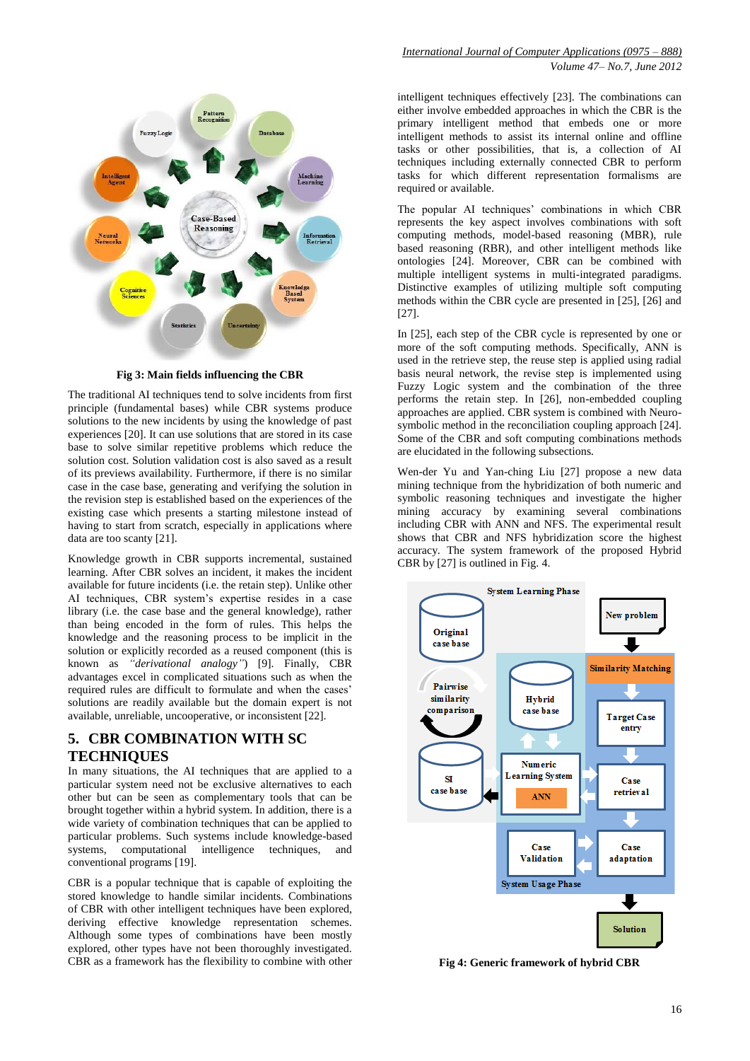

**Fig 3: Main fields influencing the CBR**

The traditional AI techniques tend to solve incidents from first principle (fundamental bases) while CBR systems produce solutions to the new incidents by using the knowledge of past experiences [20]. It can use solutions that are stored in its case base to solve similar repetitive problems which reduce the solution cost. Solution validation cost is also saved as a result of its previews availability. Furthermore, if there is no similar case in the case base, generating and verifying the solution in the revision step is established based on the experiences of the existing case which presents a starting milestone instead of having to start from scratch, especially in applications where data are too scanty [21].

Knowledge growth in CBR supports incremental, sustained learning. After CBR solves an incident, it makes the incident available for future incidents (i.e. the retain step). Unlike other AI techniques, CBR system's expertise resides in a case library (i.e. the case base and the general knowledge), rather than being encoded in the form of rules. This helps the knowledge and the reasoning process to be implicit in the solution or explicitly recorded as a reused component (this is known as *"derivational analogy"*) [9]. Finally, CBR advantages excel in complicated situations such as when the required rules are difficult to formulate and when the cases' solutions are readily available but the domain expert is not available, unreliable, uncooperative, or inconsistent [22].

#### **5. CBR COMBINATION WITH SC TECHNIQUES**

In many situations, the AI techniques that are applied to a particular system need not be exclusive alternatives to each other but can be seen as complementary tools that can be brought together within a hybrid system. In addition, there is a wide variety of combination techniques that can be applied to particular problems. Such systems include knowledge-based systems, computational intelligence techniques, and conventional programs [19].

CBR is a popular technique that is capable of exploiting the stored knowledge to handle similar incidents. Combinations of CBR with other intelligent techniques have been explored, deriving effective knowledge representation schemes. Although some types of combinations have been mostly explored, other types have not been thoroughly investigated. CBR as a framework has the flexibility to combine with other

intelligent techniques effectively [23]. The combinations can either involve embedded approaches in which the CBR is the primary intelligent method that embeds one or more intelligent methods to assist its internal online and offline tasks or other possibilities, that is, a collection of AI techniques including externally connected CBR to perform tasks for which different representation formalisms are required or available.

The popular AI techniques' combinations in which CBR represents the key aspect involves combinations with soft computing methods, model-based reasoning (MBR), rule based reasoning (RBR), and other intelligent methods like ontologies [24]. Moreover, CBR can be combined with multiple intelligent systems in multi-integrated paradigms. Distinctive examples of utilizing multiple soft computing methods within the CBR cycle are presented in [25], [26] and [27].

In [25], each step of the CBR cycle is represented by one or more of the soft computing methods. Specifically, ANN is used in the retrieve step, the reuse step is applied using radial basis neural network, the revise step is implemented using Fuzzy Logic system and the combination of the three performs the retain step. In [26], non-embedded coupling approaches are applied. CBR system is combined with Neurosymbolic method in the reconciliation coupling approach [24]. Some of the CBR and soft computing combinations methods are elucidated in the following subsections.

Wen-der Yu and Yan-ching Liu [27] propose a new data mining technique from the hybridization of both numeric and symbolic reasoning techniques and investigate the higher mining accuracy by examining several combinations including CBR with ANN and NFS. The experimental result shows that CBR and NFS hybridization score the highest accuracy. The system framework of the proposed Hybrid CBR by [27] is outlined in Fig. 4.



**Fig 4: Generic framework of hybrid CBR**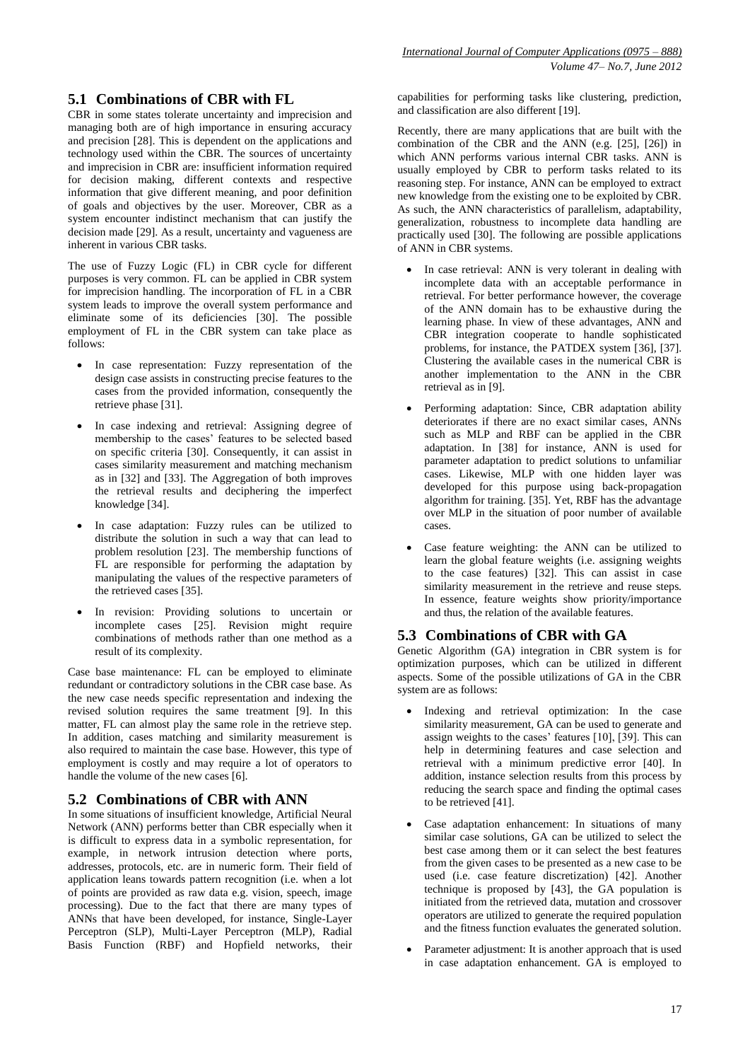# **5.1 Combinations of CBR with FL**

CBR in some states tolerate uncertainty and imprecision and managing both are of high importance in ensuring accuracy and precision [28]. This is dependent on the applications and technology used within the CBR. The sources of uncertainty and imprecision in CBR are: insufficient information required for decision making, different contexts and respective information that give different meaning, and poor definition of goals and objectives by the user. Moreover, CBR as a system encounter indistinct mechanism that can justify the decision made [29]. As a result, uncertainty and vagueness are inherent in various CBR tasks.

The use of Fuzzy Logic (FL) in CBR cycle for different purposes is very common. FL can be applied in CBR system for imprecision handling. The incorporation of FL in a CBR system leads to improve the overall system performance and eliminate some of its deficiencies [30]. The possible employment of FL in the CBR system can take place as follows:

- In case representation: Fuzzy representation of the design case assists in constructing precise features to the cases from the provided information, consequently the retrieve phase [31].
- In case indexing and retrieval: Assigning degree of membership to the cases' features to be selected based on specific criteria [30]. Consequently, it can assist in cases similarity measurement and matching mechanism as in [32] and [33]. The Aggregation of both improves the retrieval results and deciphering the imperfect knowledge [34].
- In case adaptation: Fuzzy rules can be utilized to distribute the solution in such a way that can lead to problem resolution [23]. The membership functions of FL are responsible for performing the adaptation by manipulating the values of the respective parameters of the retrieved cases [35].
- In revision: Providing solutions to uncertain or incomplete cases [25]. Revision might require combinations of methods rather than one method as a result of its complexity.

Case base maintenance: FL can be employed to eliminate redundant or contradictory solutions in the CBR case base. As the new case needs specific representation and indexing the revised solution requires the same treatment [9]. In this matter, FL can almost play the same role in the retrieve step. In addition, cases matching and similarity measurement is also required to maintain the case base. However, this type of employment is costly and may require a lot of operators to handle the volume of the new cases [6].

### **5.2 Combinations of CBR with ANN**

In some situations of insufficient knowledge, Artificial Neural Network (ANN) performs better than CBR especially when it is difficult to express data in a symbolic representation, for example, in network intrusion detection where ports, addresses, protocols, etc. are in numeric form. Their field of application leans towards pattern recognition (i.e. when a lot of points are provided as raw data e.g. vision, speech, image processing). Due to the fact that there are many types of ANNs that have been developed, for instance, Single-Layer Perceptron (SLP), Multi-Layer Perceptron (MLP), Radial Basis Function (RBF) and Hopfield networks, their capabilities for performing tasks like clustering, prediction, and classification are also different [19].

Recently, there are many applications that are built with the combination of the CBR and the ANN (e.g. [25], [26]) in which ANN performs various internal CBR tasks. ANN is usually employed by CBR to perform tasks related to its reasoning step. For instance, ANN can be employed to extract new knowledge from the existing one to be exploited by CBR. As such, the ANN characteristics of parallelism, adaptability, generalization, robustness to incomplete data handling are practically used [30]. The following are possible applications of ANN in CBR systems.

- In case retrieval: ANN is very tolerant in dealing with incomplete data with an acceptable performance in retrieval. For better performance however, the coverage of the ANN domain has to be exhaustive during the learning phase. In view of these advantages, ANN and CBR integration cooperate to handle sophisticated problems, for instance, the PATDEX system [36], [37]. Clustering the available cases in the numerical CBR is another implementation to the ANN in the CBR retrieval as in [9].
- Performing adaptation: Since, CBR adaptation ability deteriorates if there are no exact similar cases, ANNs such as MLP and RBF can be applied in the CBR adaptation. In [38] for instance, ANN is used for parameter adaptation to predict solutions to unfamiliar cases. Likewise, MLP with one hidden layer was developed for this purpose using back-propagation algorithm for training. [35]. Yet, RBF has the advantage over MLP in the situation of poor number of available cases.
- Case feature weighting: the ANN can be utilized to learn the global feature weights (i.e. assigning weights to the case features) [32]. This can assist in case similarity measurement in the retrieve and reuse steps. In essence, feature weights show priority/importance and thus, the relation of the available features.

### **5.3 Combinations of CBR with GA**

Genetic Algorithm (GA) integration in CBR system is for optimization purposes, which can be utilized in different aspects. Some of the possible utilizations of GA in the CBR system are as follows:

- Indexing and retrieval optimization: In the case similarity measurement, GA can be used to generate and assign weights to the cases' features [10], [39]. This can help in determining features and case selection and retrieval with a minimum predictive error [40]. In addition, instance selection results from this process by reducing the search space and finding the optimal cases to be retrieved [41].
- Case adaptation enhancement: In situations of many similar case solutions, GA can be utilized to select the best case among them or it can select the best features from the given cases to be presented as a new case to be used (i.e. case feature discretization) [42]. Another technique is proposed by [43], the GA population is initiated from the retrieved data, mutation and crossover operators are utilized to generate the required population and the fitness function evaluates the generated solution.
- Parameter adjustment: It is another approach that is used in case adaptation enhancement. GA is employed to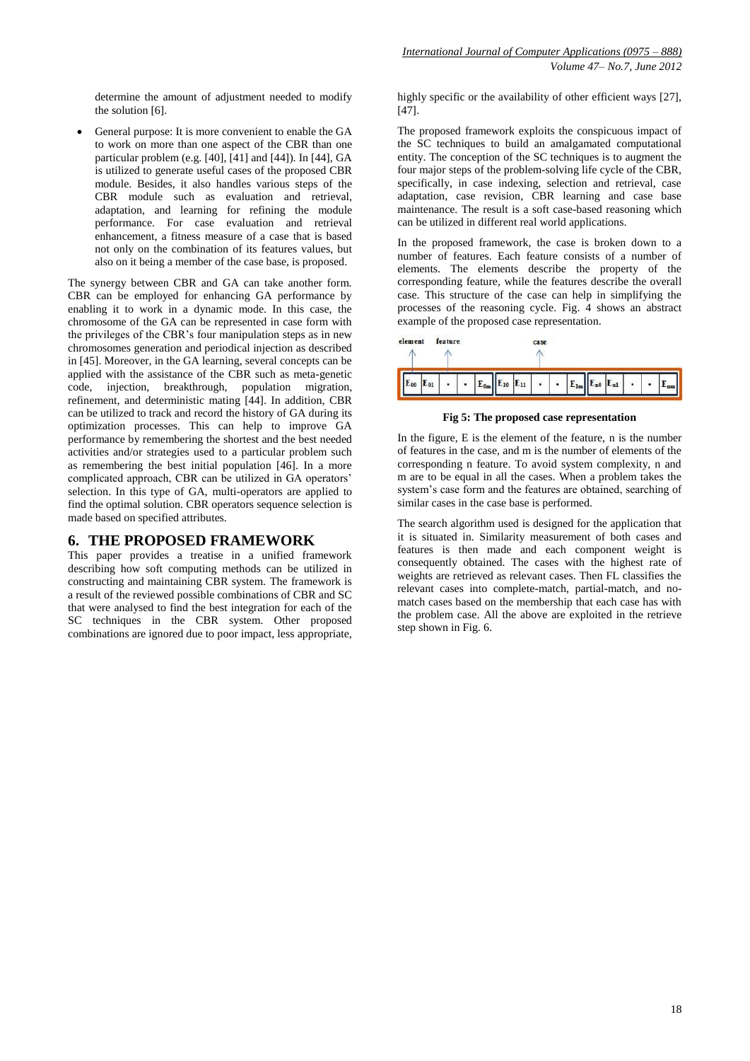determine the amount of adjustment needed to modify the solution [6].

• General purpose: It is more convenient to enable the GA to work on more than one aspect of the CBR than one particular problem (e.g. [40], [41] and [44]). In [44], GA is utilized to generate useful cases of the proposed CBR module. Besides, it also handles various steps of the CBR module such as evaluation and retrieval, adaptation, and learning for refining the module performance. For case evaluation and retrieval enhancement, a fitness measure of a case that is based not only on the combination of its features values, but also on it being a member of the case base, is proposed.

The synergy between CBR and GA can take another form. CBR can be employed for enhancing GA performance by enabling it to work in a dynamic mode. In this case, the chromosome of the GA can be represented in case form with the privileges of the CBR's four manipulation steps as in new chromosomes generation and periodical injection as described in [45]. Moreover, in the GA learning, several concepts can be applied with the assistance of the CBR such as meta-genetic code, injection, breakthrough, population migration, refinement, and deterministic mating [44]. In addition, CBR can be utilized to track and record the history of GA during its optimization processes. This can help to improve GA performance by remembering the shortest and the best needed activities and/or strategies used to a particular problem such as remembering the best initial population [46]. In a more complicated approach, CBR can be utilized in GA operators' selection. In this type of GA, multi-operators are applied to find the optimal solution. CBR operators sequence selection is made based on specified attributes.

#### **6. THE PROPOSED FRAMEWORK**

This paper provides a treatise in a unified framework describing how soft computing methods can be utilized in constructing and maintaining CBR system. The framework is a result of the reviewed possible combinations of CBR and SC that were analysed to find the best integration for each of the SC techniques in the CBR system. Other proposed combinations are ignored due to poor impact, less appropriate, highly specific or the availability of other efficient ways [27], [47].

The proposed framework exploits the conspicuous impact of the SC techniques to build an amalgamated computational entity. The conception of the SC techniques is to augment the four major steps of the problem-solving life cycle of the CBR, specifically, in case indexing, selection and retrieval, case adaptation, case revision, CBR learning and case base maintenance. The result is a soft case-based reasoning which can be utilized in different real world applications.

In the proposed framework, the case is broken down to a number of features. Each feature consists of a number of elements. The elements describe the property of the corresponding feature, while the features describe the overall case. This structure of the case can help in simplifying the processes of the reasoning cycle. Fig. 4 shows an abstract example of the proposed case representation.



**Fig 5: The proposed case representation**

In the figure, E is the element of the feature, n is the number of features in the case, and m is the number of elements of the corresponding n feature. To avoid system complexity, n and m are to be equal in all the cases. When a problem takes the system's case form and the features are obtained, searching of similar cases in the case base is performed.

The search algorithm used is designed for the application that it is situated in. Similarity measurement of both cases and features is then made and each component weight is consequently obtained. The cases with the highest rate of weights are retrieved as relevant cases. Then FL classifies the relevant cases into complete-match, partial-match, and nomatch cases based on the membership that each case has with the problem case. All the above are exploited in the retrieve step shown in Fig. 6.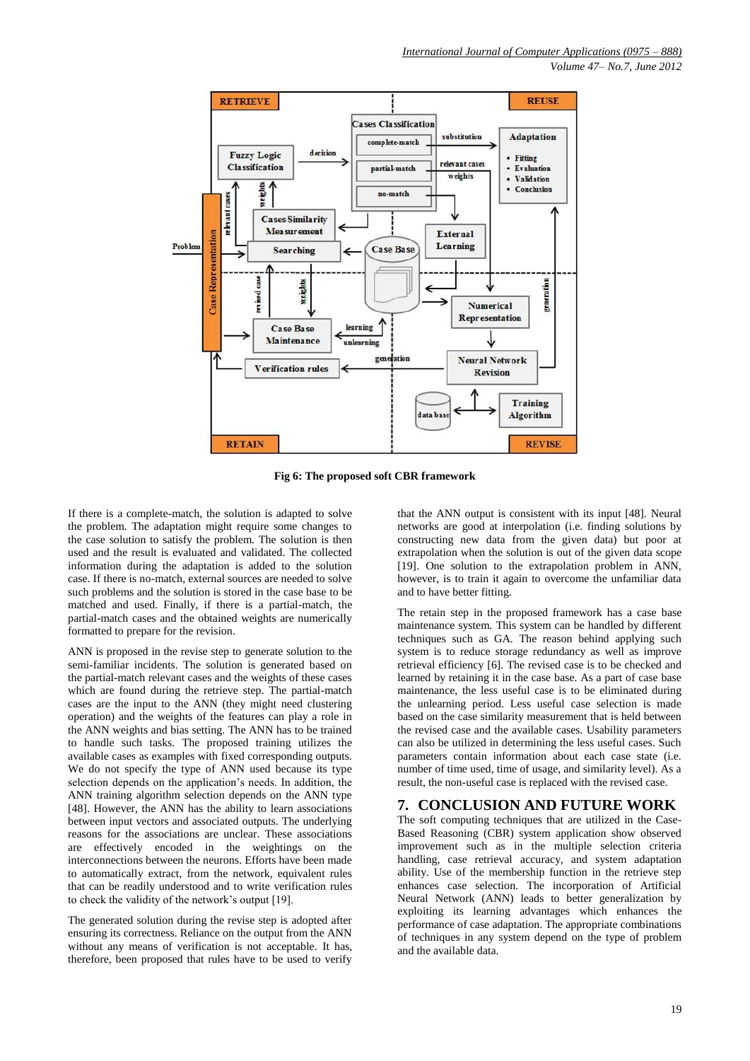*Volume 47– No.7, June 2012*



**Fig 6: The proposed soft CBR framework**

If there is a complete-match, the solution is adapted to solve the problem. The adaptation might require some changes to the case solution to satisfy the problem. The solution is then used and the result is evaluated and validated. The collected information during the adaptation is added to the solution case. If there is no-match, external sources are needed to solve such problems and the solution is stored in the case base to be matched and used. Finally, if there is a partial-match, the partial-match cases and the obtained weights are numerically formatted to prepare for the revision.

ANN is proposed in the revise step to generate solution to the semi-familiar incidents. The solution is generated based on the partial-match relevant cases and the weights of these cases which are found during the retrieve step. The partial-match cases are the input to the ANN (they might need clustering operation) and the weights of the features can play a role in the ANN weights and bias setting. The ANN has to be trained to handle such tasks. The proposed training utilizes the available cases as examples with fixed corresponding outputs. We do not specify the type of ANN used because its type selection depends on the application's needs. In addition, the ANN training algorithm selection depends on the ANN type [48]. However, the ANN has the ability to learn associations between input vectors and associated outputs. The underlying reasons for the associations are unclear. These associations are effectively encoded in the weightings on the interconnections between the neurons. Efforts have been made to automatically extract, from the network, equivalent rules that can be readily understood and to write verification rules to check the validity of the network's output [19].

The generated solution during the revise step is adopted after ensuring its correctness. Reliance on the output from the ANN without any means of verification is not acceptable. It has, therefore, been proposed that rules have to be used to verify

that the ANN output is consistent with its input [48]. Neural networks are good at interpolation (i.e. finding solutions by constructing new data from the given data) but poor at extrapolation when the solution is out of the given data scope [19]. One solution to the extrapolation problem in ANN, however, is to train it again to overcome the unfamiliar data and to have better fitting.

The retain step in the proposed framework has a case base maintenance system. This system can be handled by different techniques such as GA. The reason behind applying such system is to reduce storage redundancy as well as improve retrieval efficiency [6]. The revised case is to be checked and learned by retaining it in the case base. As a part of case base maintenance, the less useful case is to be eliminated during the unlearning period. Less useful case selection is made based on the case similarity measurement that is held between the revised case and the available cases. Usability parameters can also be utilized in determining the less useful cases. Such parameters contain information about each case state (i.e. number of time used, time of usage, and similarity level). As a result, the non-useful case is replaced with the revised case.

#### **7. CONCLUSION AND FUTURE WORK**

The soft computing techniques that are utilized in the Case-Based Reasoning (CBR) system application show observed improvement such as in the multiple selection criteria handling, case retrieval accuracy, and system adaptation ability. Use of the membership function in the retrieve step enhances case selection. The incorporation of Artificial Neural Network (ANN) leads to better generalization by exploiting its learning advantages which enhances the performance of case adaptation. The appropriate combinations of techniques in any system depend on the type of problem and the available data.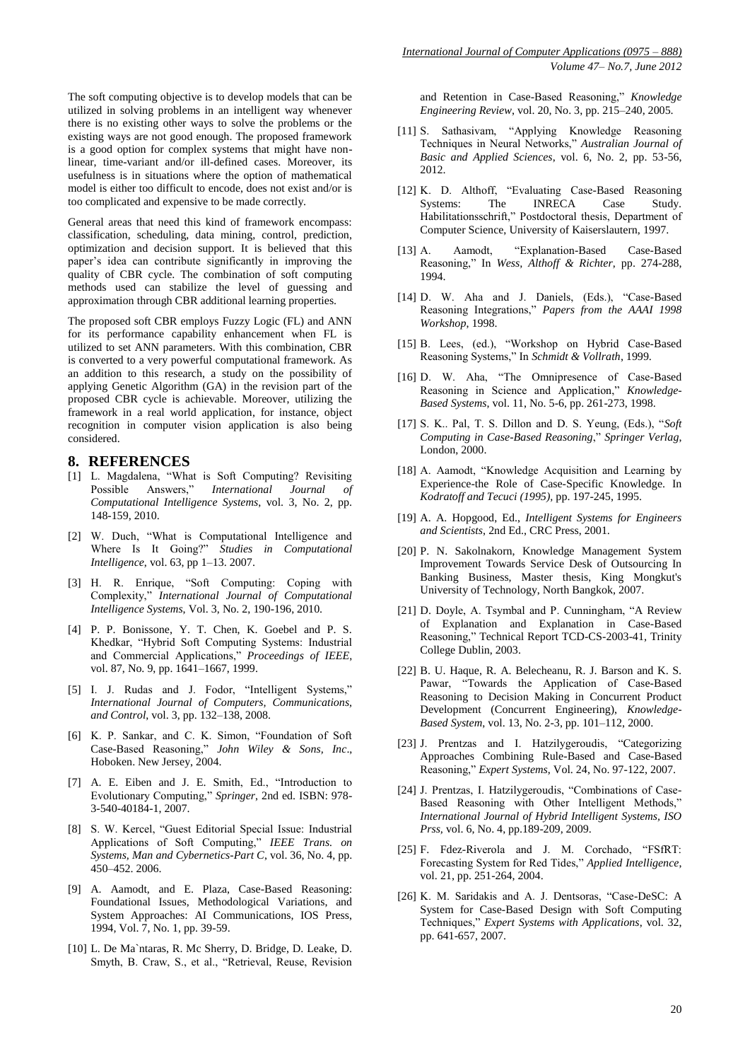The soft computing objective is to develop models that can be utilized in solving problems in an intelligent way whenever there is no existing other ways to solve the problems or the existing ways are not good enough. The proposed framework is a good option for complex systems that might have nonlinear, time-variant and/or ill-defined cases. Moreover, its usefulness is in situations where the option of mathematical model is either too difficult to encode, does not exist and/or is too complicated and expensive to be made correctly.

General areas that need this kind of framework encompass: classification, scheduling, data mining, control, prediction, optimization and decision support. It is believed that this paper's idea can contribute significantly in improving the quality of CBR cycle. The combination of soft computing methods used can stabilize the level of guessing and approximation through CBR additional learning properties.

The proposed soft CBR employs Fuzzy Logic (FL) and ANN for its performance capability enhancement when FL is utilized to set ANN parameters. With this combination, CBR is converted to a very powerful computational framework. As an addition to this research, a study on the possibility of applying Genetic Algorithm (GA) in the revision part of the proposed CBR cycle is achievable. Moreover, utilizing the framework in a real world application, for instance, object recognition in computer vision application is also being considered.

#### **8. REFERENCES**

- [1] L. Magdalena, "What is Soft Computing? Revisiting<br>Possible Answers," International Journal of Possible Answers," *International Journal of Computational Intelligence Systems*, vol. 3, No. 2, pp. 148-159, 2010.
- [2] W. Duch, "What is Computational Intelligence and Where Is It Going?" *Studies in Computational Intelligence*, vol. 63, pp 1–13. 2007.
- [3] H. R. Enrique, "Soft Computing: Coping with Complexity," *International Journal of Computational Intelligence Systems*, Vol. 3, No. 2, 190-196, 2010.
- [4] P. P. Bonissone, Y. T. Chen, K. Goebel and P. S. Khedkar, "Hybrid Soft Computing Systems: Industrial and Commercial Applications," *Proceedings of IEEE*, vol. 87, No. 9, pp. 1641–1667, 1999.
- [5] I. J. Rudas and J. Fodor, "Intelligent Systems," *International Journal of Computers, Communications, and Control*, vol. 3, pp. 132–138, 2008.
- [6] K. P. Sankar, and C. K. Simon, "Foundation of Soft Case-Based Reasoning," *John Wiley & Sons, Inc*., Hoboken. New Jersey, 2004.
- [7] A. E. Eiben and J. E. Smith, Ed., "Introduction to Evolutionary Computing," *Springer*, 2nd ed. ISBN: 978- 3-540-40184-1, 2007.
- [8] S. W. Kercel, "Guest Editorial Special Issue: Industrial Applications of Soft Computing," *IEEE Trans. on Systems, Man and Cybernetics-Part C*, vol. 36, No. 4, pp. 450–452. 2006.
- [9] A. Aamodt, and E. Plaza, Case-Based Reasoning: Foundational Issues, Methodological Variations, and System Approaches: AI Communications, IOS Press, 1994, Vol. 7, No. 1, pp. 39-59.
- [10] L. De Ma`ntaras, R. Mc Sherry, D. Bridge, D. Leake, D. Smyth, B. Craw, S., et al., "Retrieval, Reuse, Revision

and Retention in Case-Based Reasoning," *Knowledge Engineering Review*, vol. 20, No. 3, pp. 215–240, 2005.

- [11] S. Sathasivam, "Applying Knowledge Reasoning Techniques in Neural Networks," *Australian Journal of Basic and Applied Sciences*, vol. 6, No. 2, pp. 53-56, 2012.
- [12] K. D. Althoff, "Evaluating Case-Based Reasoning Systems: The INRECA Case Study. Habilitationsschrift," Postdoctoral thesis, Department of Computer Science, University of Kaiserslautern, 1997.
- [13] A. Aamodt, "Explanation-Based Case-Based Reasoning," In *Wess, Althoff & Richter*, pp. 274-288, 1994.
- [14] D. W. Aha and J. Daniels, (Eds.), "Case-Based Reasoning Integrations," *Papers from the AAAI 1998 Workshop*, 1998.
- [15] B. Lees, (ed.), "Workshop on Hybrid Case-Based Reasoning Systems," In *Schmidt & Vollrath*, 1999.
- [16] D. W. Aha, "The Omnipresence of Case-Based Reasoning in Science and Application," *Knowledge-Based Systems*, vol. 11, No. 5-6, pp. 261-273, 1998.
- [17] S. K.. Pal, T. S. Dillon and D. S. Yeung, (Eds.), "*Soft Computing in Case-Based Reasoning*," *Springer Verlag*, London, 2000.
- [18] A. Aamodt, "Knowledge Acquisition and Learning by Experience-the Role of Case-Specific Knowledge. In *Kodratoff and Tecuci (1995),* pp. 197-245, 1995.
- [19] A. A. Hopgood, Ed., *Intelligent Systems for Engineers and Scientists*, 2nd Ed., CRC Press, 2001.
- [20] P. N. Sakolnakorn, Knowledge Management System Improvement Towards Service Desk of Outsourcing In Banking Business, Master thesis, King Mongkut's University of Technology, North Bangkok, 2007.
- [21] D. Doyle, A. Tsymbal and P. Cunningham, "A Review of Explanation and Explanation in Case-Based Reasoning," Technical Report TCD-CS-2003-41, Trinity College Dublin, 2003.
- [22] B. U. Haque, R. A. Belecheanu, R. J. Barson and K. S. Pawar, "Towards the Application of Case-Based Reasoning to Decision Making in Concurrent Product Development (Concurrent Engineering), *Knowledge-Based System*, vol. 13, No. 2-3, pp. 101–112, 2000.
- [23] J. Prentzas and I. Hatzilygeroudis, "Categorizing Approaches Combining Rule-Based and Case-Based Reasoning," *Expert Systems*, Vol. 24, No. 97-122, 2007.
- [24] J. Prentzas, I. Hatzilygeroudis, "Combinations of Case-Based Reasoning with Other Intelligent Methods," *International Journal of Hybrid Intelligent Systems, ISO Prss,* vol. 6, No. 4, pp.189-209, 2009.
- [25] F. Fdez-Riverola and J. M. Corchado, "FSfRT: Forecasting System for Red Tides," *Applied Intelligence*, vol. 21, pp. 251-264, 2004.
- [26] K. M. Saridakis and A. J. Dentsoras, "Case-DeSC: A System for Case-Based Design with Soft Computing Techniques," *Expert Systems with Applications*, vol. 32, pp. 641-657, 2007.